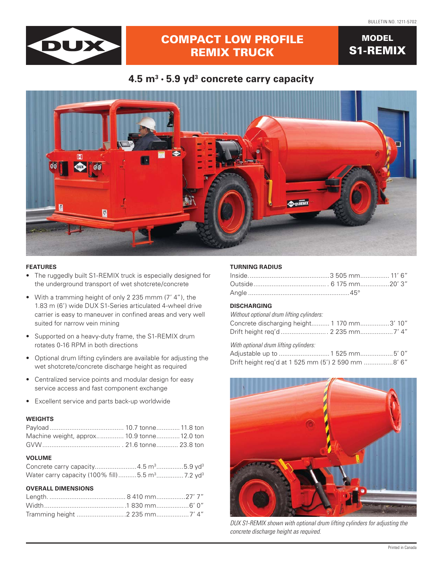**MODEL** 

**S1-REMIX** 



# **COMPACT LOW PROFILE REMIX TRUCK**

## 4.5  $m^3 \cdot 5.9$  yd<sup>3</sup> concrete carry capacity



## **FEATURES**

- The ruggedly built S1-REMIX truck is especially designed for the underground transport of wet shotcrete/concrete
- With a tramming height of only 2 235 mmm (7'4"), the 1.83 m (6') wide DUX S1-Series articulated 4-wheel drive carrier is easy to maneuver in confined areas and very well suited for narrow vein mining
- Supported on a heavy-duty frame, the S1-REMIX drum rotates 0-16 RPM in both directions
- Optional drum lifting cylinders are available for adjusting the wet shotcrete/concrete discharge height as required
- Centralized service points and modular design for easy service access and fast component exchange
- Excellent service and parts back-up worldwide

## **WEIGHTS**

| Machine weight, approx 10.9 tonne 12.0 ton                    |  |
|---------------------------------------------------------------|--|
|                                                               |  |
| <b>VOLUME</b>                                                 |  |
| Concrete carry capacity4.5 m <sup>3</sup> 5.9 yd <sup>3</sup> |  |

## Water carry capacity (100% fill)..........5.5 m<sup>3</sup>.................7.2 yd<sup>3</sup>

| <b>OVERALL DIMENSIONS</b> |  |
|---------------------------|--|
|                           |  |
|                           |  |
|                           |  |

#### **TURNING RADIUS**

### **DISCHARGING**

| Without optional drum lifting cylinders:   |  |
|--------------------------------------------|--|
| Concrete discharging height 1 170 mm3' 10" |  |
| Drift height reg'd 2 235 mm7' 4″           |  |
| Mith ontional drum lifting cylindere:      |  |

vvitn optional drum lifting cylinders:

| Drift height req'd at 1 525 mm (5') 2 590 mm 8' 6" |  |  |
|----------------------------------------------------|--|--|



DUX S1-REMIX shown with optional drum lifting cylinders for adjusting the concrete discharge height as required.